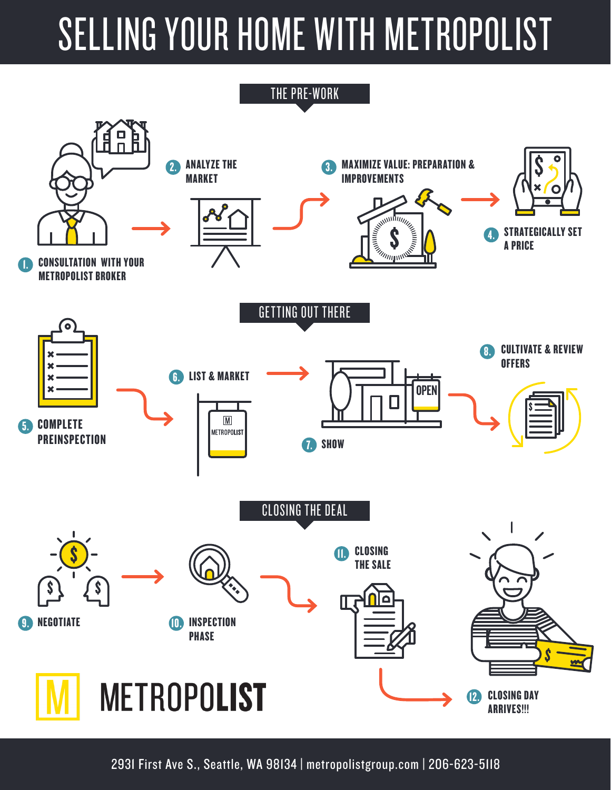# SELLING YOUR HOME WITH METROPOLIST



2931 First Ave S., Seattle, WA 98134 | metropolistgroup.com | 206-623-5118